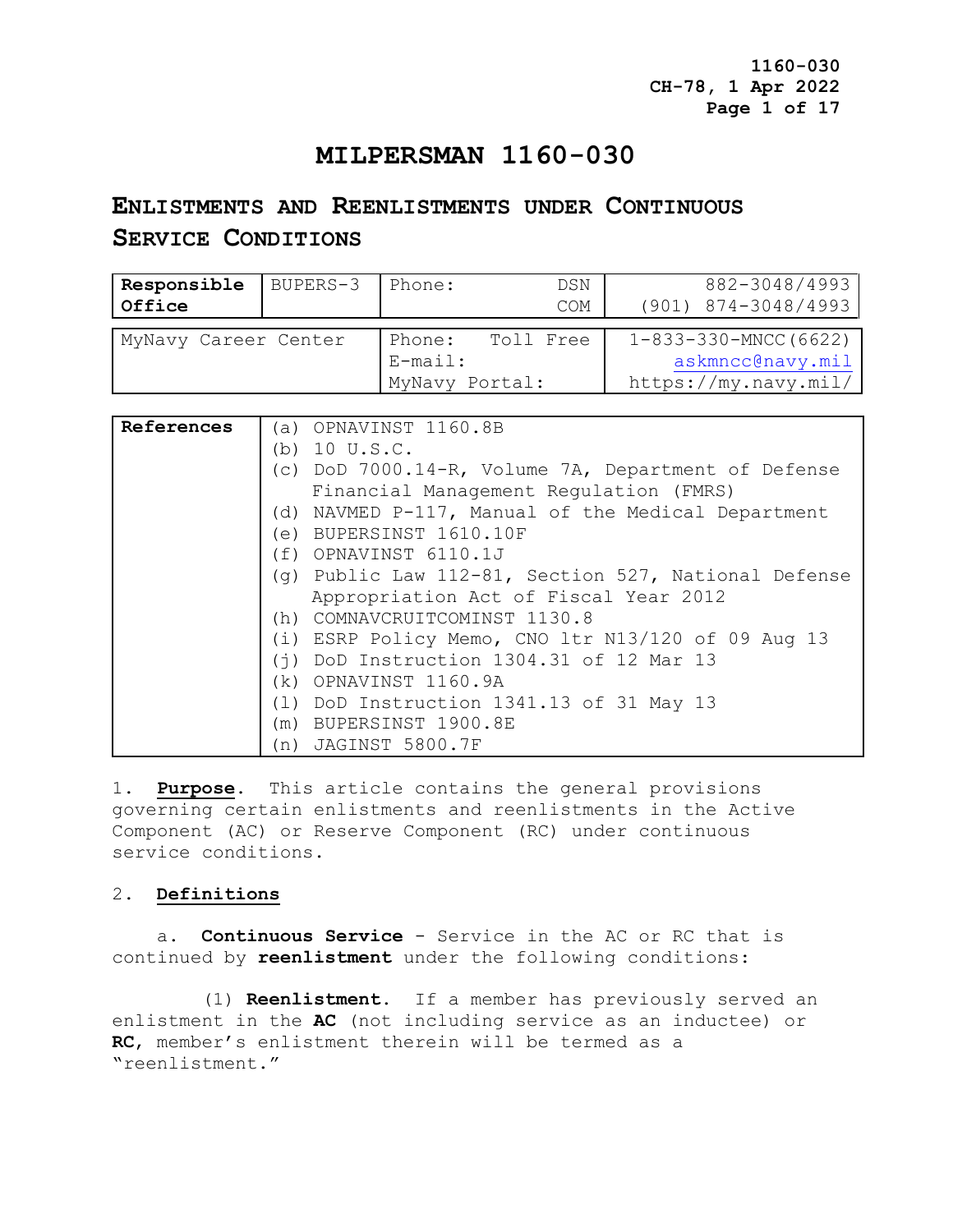**1160-030 CH-78, 1 Apr 2022 Page 1 of 17**

## **MILPERSMAN 1160-030**

# **ENLISTMENTS AND REENLISTMENTS UNDER CONTINUOUS SERVICE CONDITIONS**

| Responsible<br>Office | BUPERS-3 | Phone:                                 | DSN<br>COM | 882-3048/4993<br>$(901)$ $874 - 3048/4993$                               |
|-----------------------|----------|----------------------------------------|------------|--------------------------------------------------------------------------|
| MyNavy Career Center  |          | Phone:<br>$E$ -mail:<br>MyNavy Portal: | Toll Free  | $1 - 833 - 330 - MNCC(6622)$<br>askmncc@navy.mil<br>https://my.navy.mil/ |

| References | (a) OPNAVINST 1160.8B                                |
|------------|------------------------------------------------------|
|            | (b) $10 \text{ U.S.C.}$                              |
|            | (c) DoD 7000.14-R, Volume 7A, Department of Defense  |
|            | Financial Management Regulation (FMRS)               |
|            | (d) NAVMED P-117, Manual of the Medical Department   |
|            | (e) BUPERSINST 1610.10F                              |
|            | (f) OPNAVINST 6110.1J                                |
|            | (q) Public Law 112-81, Section 527, National Defense |
|            | Appropriation Act of Fiscal Year 2012                |
|            | (h) COMNAVCRUITCOMINST 1130.8                        |
|            | (i) ESRP Policy Memo, CNO 1tr N13/120 of 09 Aug 13   |
|            | $(i)$ DoD Instruction 1304.31 of 12 Mar 13           |
|            | (k) OPNAVINST 1160.9A                                |
|            | (1) DoD Instruction 1341.13 of 31 May 13             |
|            | (m) BUPERSINST 1900.8E                               |
|            | (n) JAGINST 5800.7F                                  |

1. **Purpose**. This article contains the general provisions governing certain enlistments and reenlistments in the Active Component (AC) or Reserve Component (RC) under continuous service conditions.

## 2. **Definitions**

 a. **Continuous Service** - Service in the AC or RC that is continued by **reenlistment** under the following conditions:

 (1) **Reenlistment**. If a member has previously served an enlistment in the **AC** (not including service as an inductee) or **RC**, member's enlistment therein will be termed as a "reenlistment."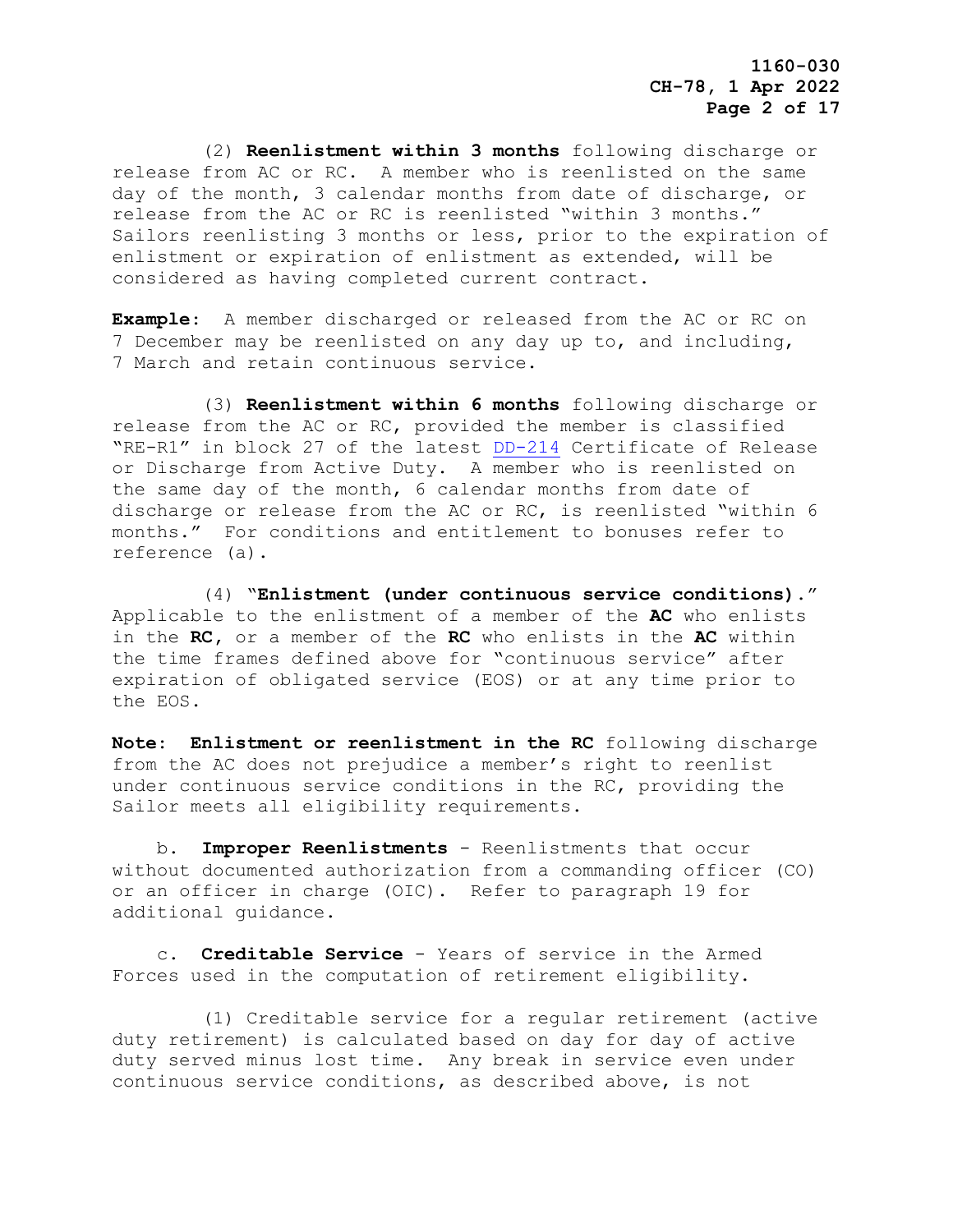(2) **Reenlistment within 3 months** following discharge or release from AC or RC. A member who is reenlisted on the same day of the month, 3 calendar months from date of discharge, or release from the AC or RC is reenlisted "within 3 months." Sailors reenlisting 3 months or less, prior to the expiration of enlistment or expiration of enlistment as extended, will be considered as having completed current contract.

**Example**: A member discharged or released from the AC or RC on 7 December may be reenlisted on any day up to, and including, 7 March and retain continuous service.

 (3) **Reenlistment within 6 months** following discharge or release from the AC or RC, provided the member is classified "RE-R1" in block 27 of the latest [DD-214](https://www.esd.whs.mil/directives/forms/) Certificate of Release or Discharge from Active Duty. A member who is reenlisted on the same day of the month, 6 calendar months from date of discharge or release from the AC or RC, is reenlisted "within 6 months." For conditions and entitlement to bonuses refer to reference (a).

 (4) "**Enlistment (under continuous service conditions).**" Applicable to the enlistment of a member of the **AC** who enlists in the **RC,** or a member of the **RC** who enlists in the **AC** within the time frames defined above for "continuous service" after expiration of obligated service (EOS) or at any time prior to the EOS.

**Note**: **Enlistment or reenlistment in the RC** following discharge from the AC does not prejudice a member's right to reenlist under continuous service conditions in the RC, providing the Sailor meets all eligibility requirements.

 b. **Improper Reenlistments** - Reenlistments that occur without documented authorization from a commanding officer (CO) or an officer in charge (OIC). Refer to paragraph 19 for additional guidance.

 c. **Creditable Service** - Years of service in the Armed Forces used in the computation of retirement eligibility.

 (1) Creditable service for a regular retirement (active duty retirement) is calculated based on day for day of active duty served minus lost time. Any break in service even under continuous service conditions, as described above, is not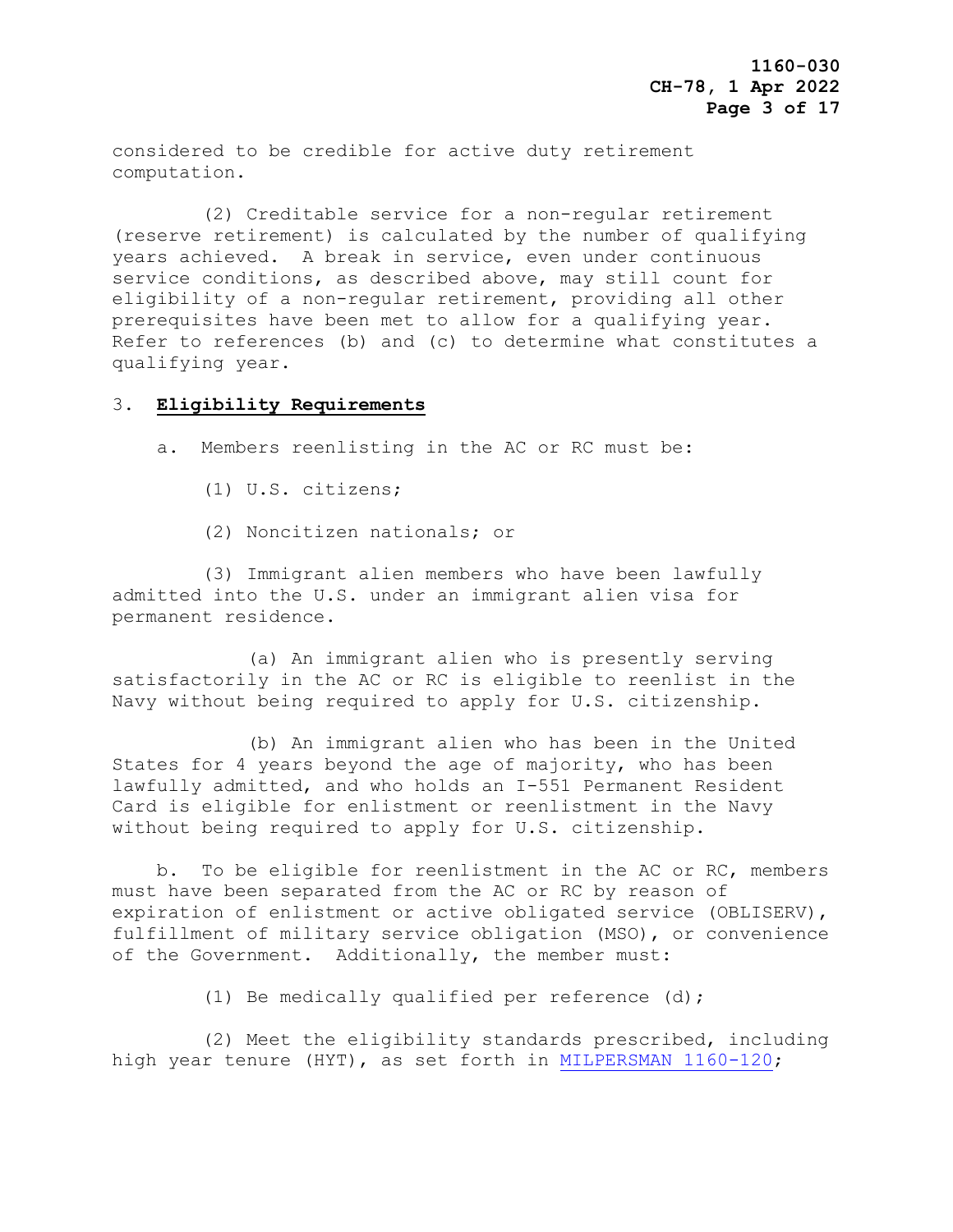considered to be credible for active duty retirement computation.

 (2) Creditable service for a non-regular retirement (reserve retirement) is calculated by the number of qualifying years achieved. A break in service, even under continuous service conditions, as described above, may still count for eligibility of a non-regular retirement, providing all other prerequisites have been met to allow for a qualifying year. Refer to references (b) and (c) to determine what constitutes a qualifying year.

## 3. **Eligibility Requirements**

a. Members reenlisting in the AC or RC must be:

(1) U.S. citizens;

(2) Noncitizen nationals; or

 (3) Immigrant alien members who have been lawfully admitted into the U.S. under an immigrant alien visa for permanent residence.

 (a) An immigrant alien who is presently serving satisfactorily in the AC or RC is eligible to reenlist in the Navy without being required to apply for U.S. citizenship.

 (b) An immigrant alien who has been in the United States for 4 years beyond the age of majority, who has been lawfully admitted, and who holds an I-551 Permanent Resident Card is eligible for enlistment or reenlistment in the Navy without being required to apply for U.S. citizenship.

 b. To be eligible for reenlistment in the AC or RC, members must have been separated from the AC or RC by reason of expiration of enlistment or active obligated service (OBLISERV), fulfillment of military service obligation (MSO), or convenience of the Government. Additionally, the member must:

(1) Be medically qualified per reference (d);

 (2) Meet the eligibility standards prescribed, including high year tenure (HYT), as set forth in [MILPERSMAN 1160-120;](https://www.mynavyhr.navy.mil/References/MILPERSMAN/1000-Military-Personnel/)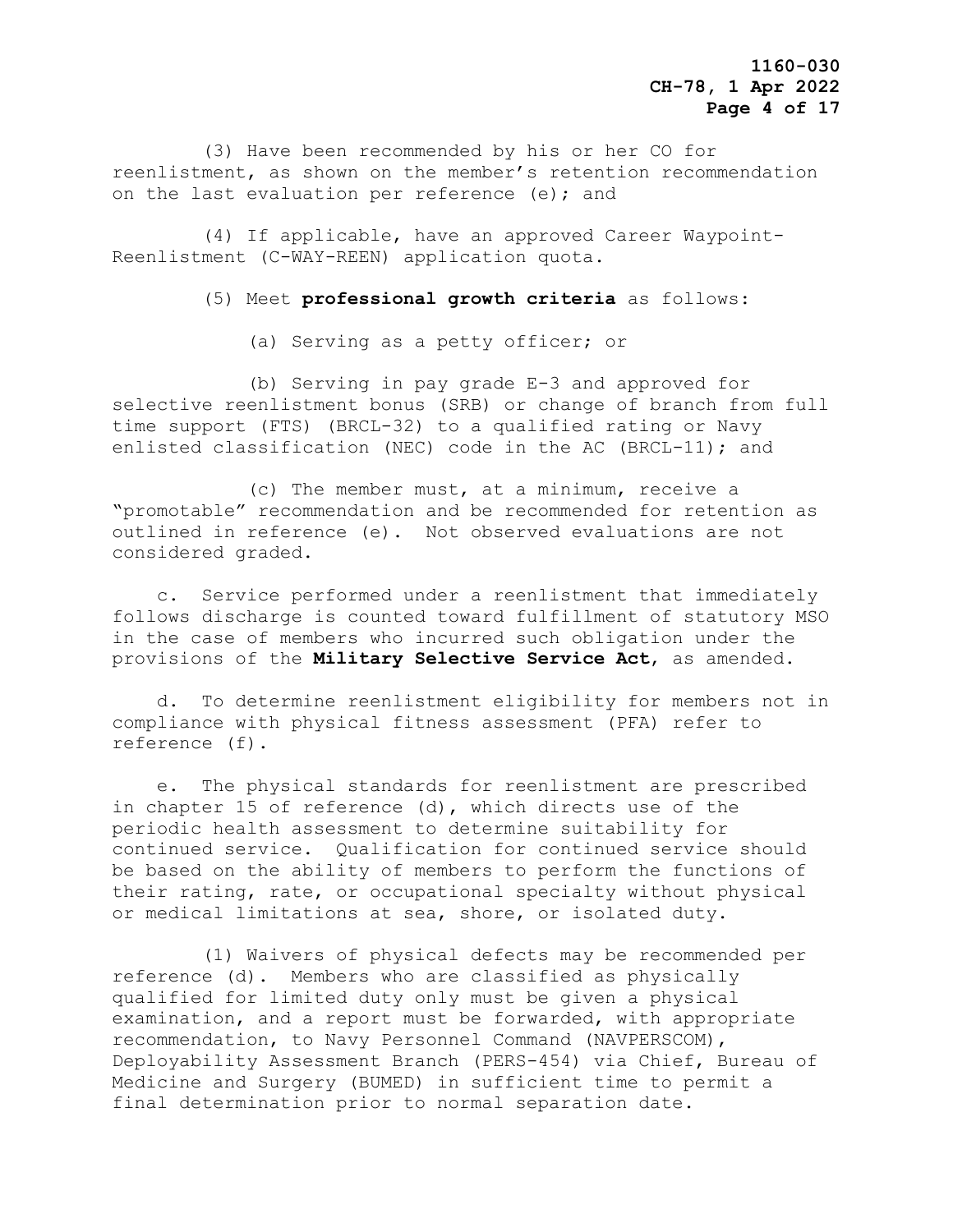(3) Have been recommended by his or her CO for reenlistment, as shown on the member's retention recommendation on the last evaluation per reference (e); and

 (4) If applicable, have an approved Career Waypoint-Reenlistment (C-WAY-REEN) application quota.

(5) Meet **professional growth criteria** as follows:

(a) Serving as a petty officer; or

 (b) Serving in pay grade E-3 and approved for selective reenlistment bonus (SRB) or change of branch from full time support (FTS) (BRCL-32) to a qualified rating or Navy enlisted classification (NEC) code in the AC (BRCL-11); and

 (c) The member must, at a minimum, receive a "promotable" recommendation and be recommended for retention as outlined in reference (e). Not observed evaluations are not considered graded.

 c. Service performed under a reenlistment that immediately follows discharge is counted toward fulfillment of statutory MSO in the case of members who incurred such obligation under the provisions of the **Military Selective Service Act**, as amended.

 d. To determine reenlistment eligibility for members not in compliance with physical fitness assessment (PFA) refer to reference (f).

 e. The physical standards for reenlistment are prescribed in chapter 15 of reference (d), which directs use of the periodic health assessment to determine suitability for continued service. Qualification for continued service should be based on the ability of members to perform the functions of their rating, rate, or occupational specialty without physical or medical limitations at sea, shore, or isolated duty.

 (1) Waivers of physical defects may be recommended per reference (d). Members who are classified as physically qualified for limited duty only must be given a physical examination, and a report must be forwarded, with appropriate recommendation, to Navy Personnel Command (NAVPERSCOM), Deployability Assessment Branch (PERS-454) via Chief, Bureau of Medicine and Surgery (BUMED) in sufficient time to permit a final determination prior to normal separation date.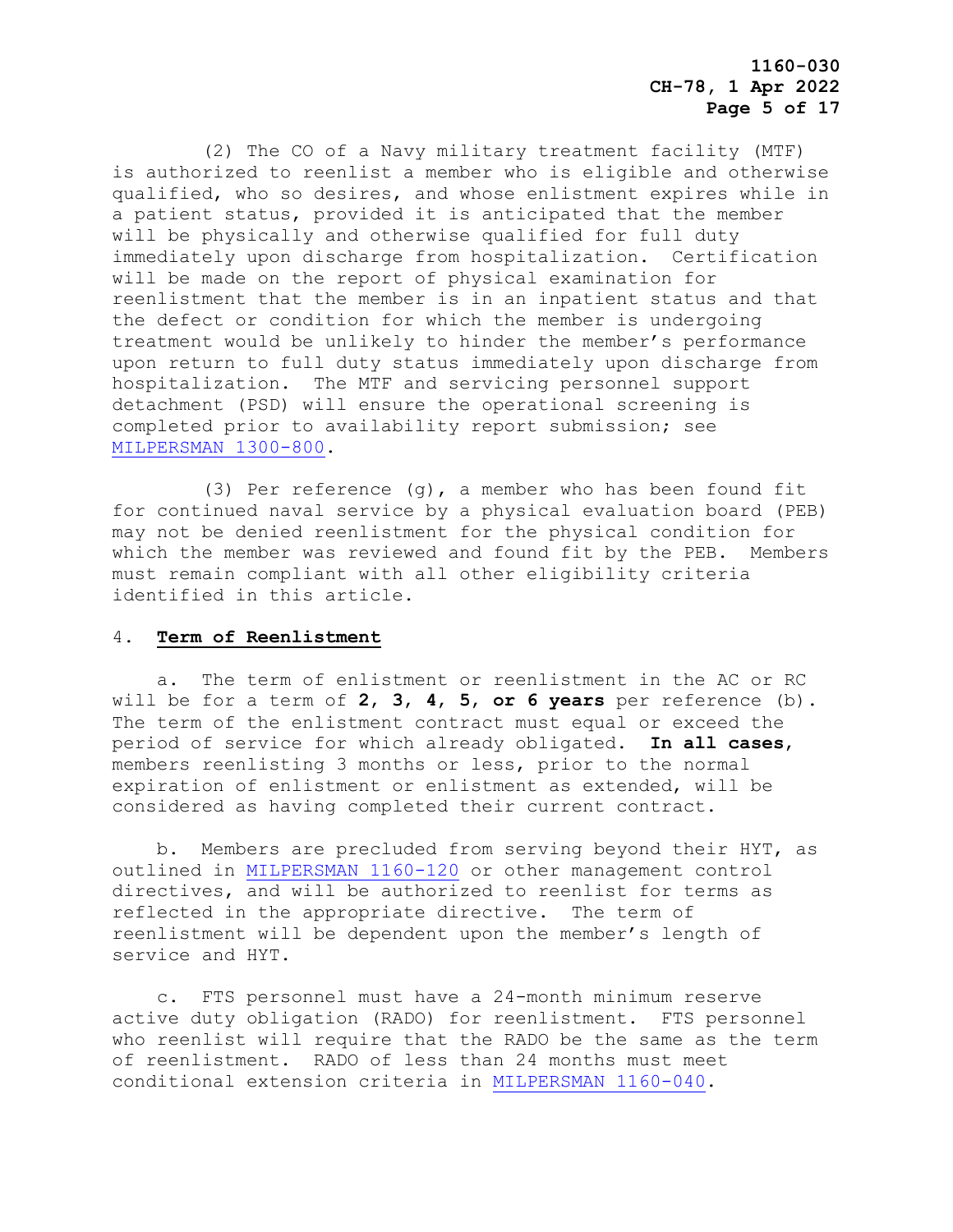(2) The CO of a Navy military treatment facility (MTF) is authorized to reenlist a member who is eligible and otherwise qualified, who so desires, and whose enlistment expires while in a patient status, provided it is anticipated that the member will be physically and otherwise qualified for full duty immediately upon discharge from hospitalization. Certification will be made on the report of physical examination for reenlistment that the member is in an inpatient status and that the defect or condition for which the member is undergoing treatment would be unlikely to hinder the member's performance upon return to full duty status immediately upon discharge from hospitalization. The MTF and servicing personnel support detachment (PSD) will ensure the operational screening is completed prior to availability report submission; see [MILPERSMAN 1300-800.](https://www.mynavyhr.navy.mil/References/MILPERSMAN/1000-Military-Personnel/1300-Assignment/)

 (3) Per reference (g), a member who has been found fit for continued naval service by a physical evaluation board (PEB) may not be denied reenlistment for the physical condition for which the member was reviewed and found fit by the PEB. Members must remain compliant with all other eligibility criteria identified in this article.

#### 4. **Term of Reenlistment**

 a. The term of enlistment or reenlistment in the AC or RC will be for a term of **2**, **3**, **4**, **5**, **or 6 years** per reference (b). The term of the enlistment contract must equal or exceed the period of service for which already obligated. **In all cases**, members reenlisting 3 months or less, prior to the normal expiration of enlistment or enlistment as extended, will be considered as having completed their current contract.

 b. Members are precluded from serving beyond their HYT, as outlined in [MILPERSMAN 1160-120](https://www.mynavyhr.navy.mil/References/MILPERSMAN/1000-Military-Personnel/1000-General/) or other management control directives, and will be authorized to reenlist for terms as reflected in the appropriate directive. The term of reenlistment will be dependent upon the member's length of service and HYT.

 c. FTS personnel must have a 24-month minimum reserve active duty obligation (RADO) for reenlistment. FTS personnel who reenlist will require that the RADO be the same as the term of reenlistment. RADO of less than 24 months must meet conditional extension criteria in [MILPERSMAN 1160-040.](https://www.mynavyhr.navy.mil/References/MILPERSMAN/1000-Military-Personnel/1000-General/)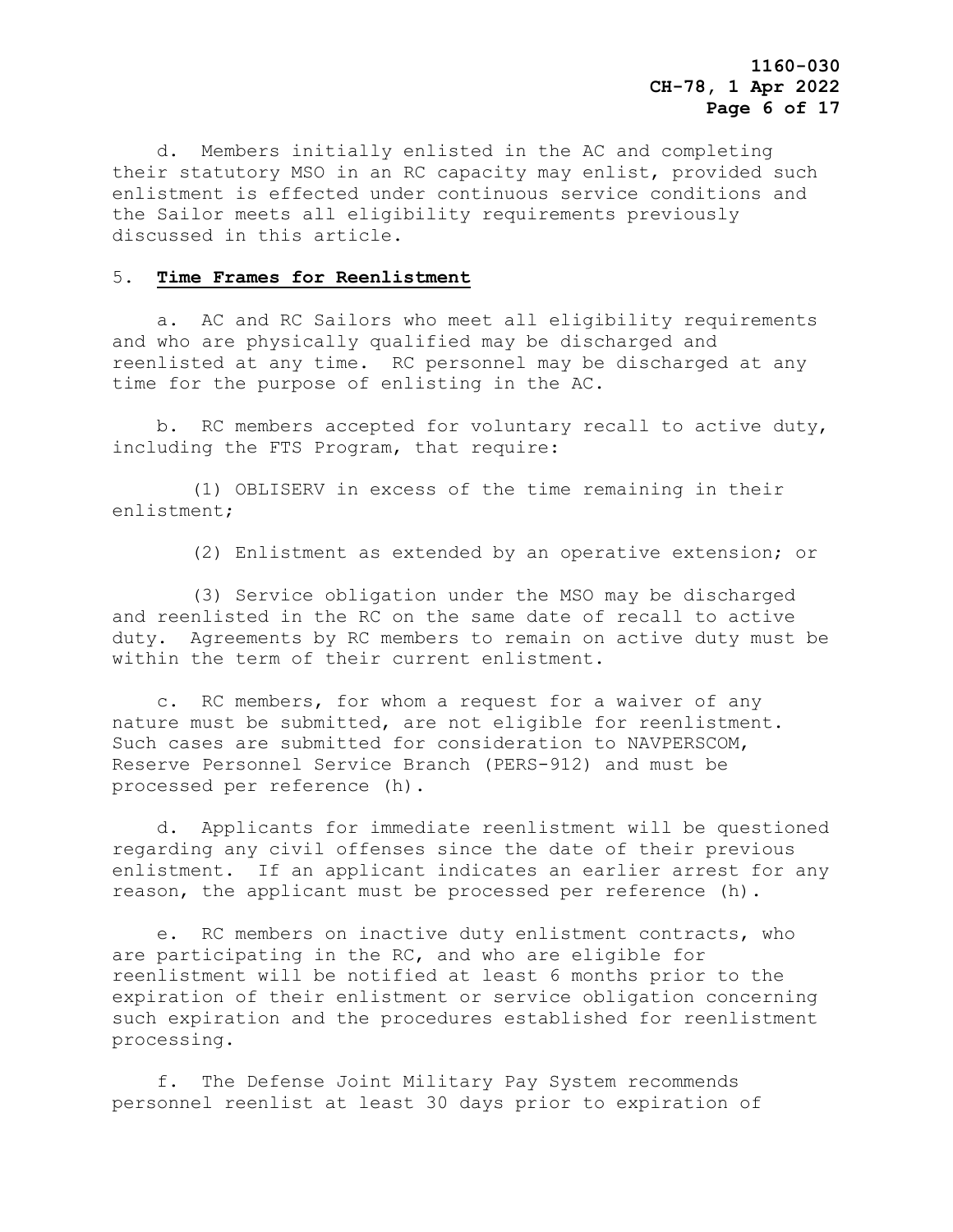d. Members initially enlisted in the AC and completing their statutory MSO in an RC capacity may enlist, provided such enlistment is effected under continuous service conditions and the Sailor meets all eligibility requirements previously discussed in this article.

#### 5. **Time Frames for Reenlistment**

 a. AC and RC Sailors who meet all eligibility requirements and who are physically qualified may be discharged and reenlisted at any time. RC personnel may be discharged at any time for the purpose of enlisting in the AC.

 b. RC members accepted for voluntary recall to active duty, including the FTS Program, that require:

 (1) OBLISERV in excess of the time remaining in their enlistment;

(2) Enlistment as extended by an operative extension; or

 (3) Service obligation under the MSO may be discharged and reenlisted in the RC on the same date of recall to active duty. Agreements by RC members to remain on active duty must be within the term of their current enlistment.

 c. RC members, for whom a request for a waiver of any nature must be submitted, are not eligible for reenlistment. Such cases are submitted for consideration to NAVPERSCOM, Reserve Personnel Service Branch (PERS-912) and must be processed per reference (h).

 d. Applicants for immediate reenlistment will be questioned regarding any civil offenses since the date of their previous enlistment. If an applicant indicates an earlier arrest for any reason, the applicant must be processed per reference (h).

 e. RC members on inactive duty enlistment contracts, who are participating in the RC, and who are eligible for reenlistment will be notified at least 6 months prior to the expiration of their enlistment or service obligation concerning such expiration and the procedures established for reenlistment processing.

 f. The Defense Joint Military Pay System recommends personnel reenlist at least 30 days prior to expiration of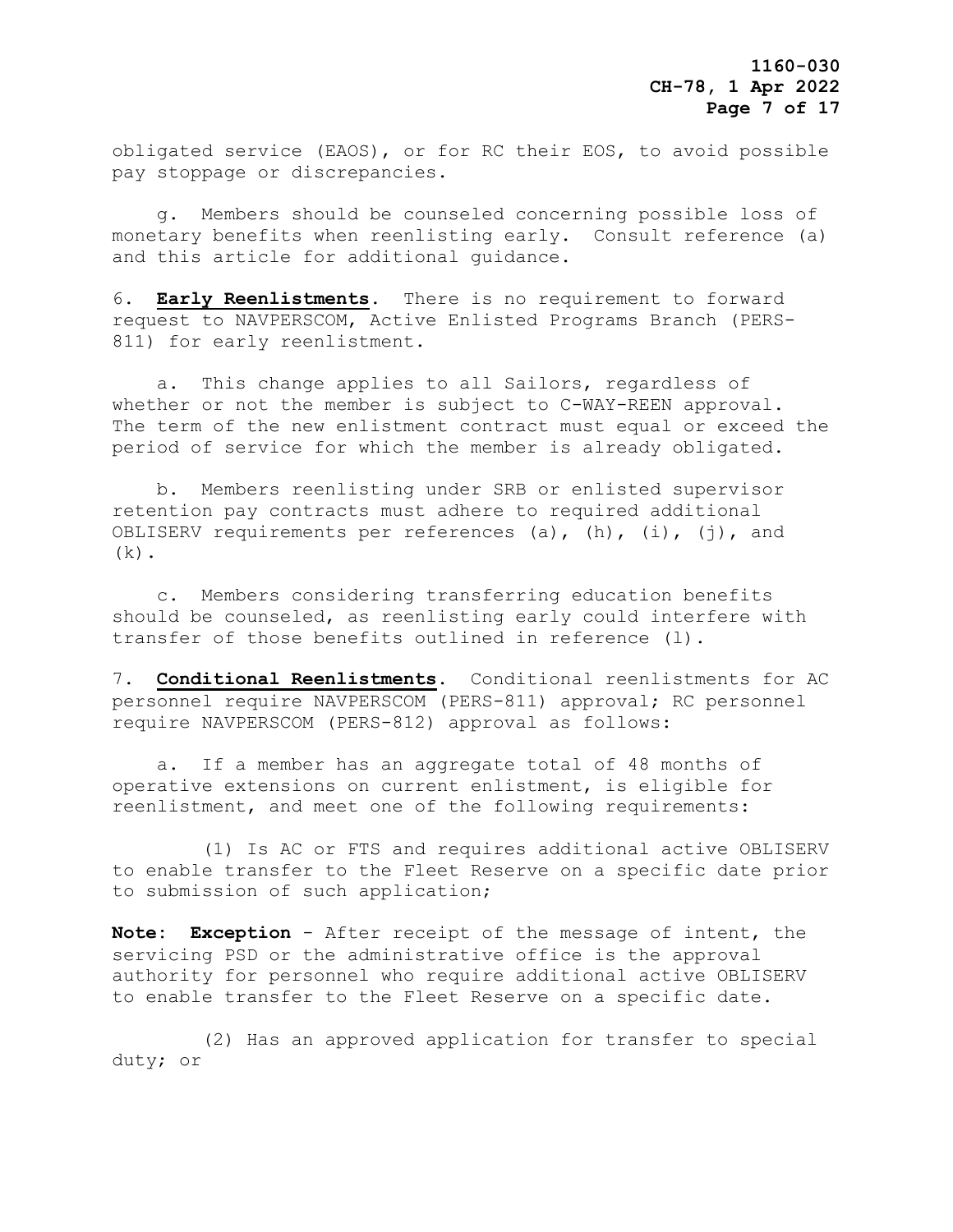obligated service (EAOS), or for RC their EOS, to avoid possible pay stoppage or discrepancies.

 g. Members should be counseled concerning possible loss of monetary benefits when reenlisting early. Consult reference (a) and this article for additional guidance.

6. **Early Reenlistments**. There is no requirement to forward request to NAVPERSCOM, Active Enlisted Programs Branch (PERS-811) for early reenlistment.

 a. This change applies to all Sailors, regardless of whether or not the member is subject to C-WAY-REEN approval. The term of the new enlistment contract must equal or exceed the period of service for which the member is already obligated.

 b. Members reenlisting under SRB or enlisted supervisor retention pay contracts must adhere to required additional OBLISERV requirements per references (a),  $(h)$ ,  $(i)$ ,  $(j)$ , and  $(k)$ .

 c. Members considering transferring education benefits should be counseled, as reenlisting early could interfere with transfer of those benefits outlined in reference (l).

7. **Conditional Reenlistments**. Conditional reenlistments for AC personnel require NAVPERSCOM (PERS-811) approval; RC personnel require NAVPERSCOM (PERS-812) approval as follows:

 a. If a member has an aggregate total of 48 months of operative extensions on current enlistment, is eligible for reenlistment, and meet one of the following requirements:

 (1) Is AC or FTS and requires additional active OBLISERV to enable transfer to the Fleet Reserve on a specific date prior to submission of such application;

**Note: Exception** - After receipt of the message of intent, the servicing PSD or the administrative office is the approval authority for personnel who require additional active OBLISERV to enable transfer to the Fleet Reserve on a specific date.

 (2) Has an approved application for transfer to special duty; or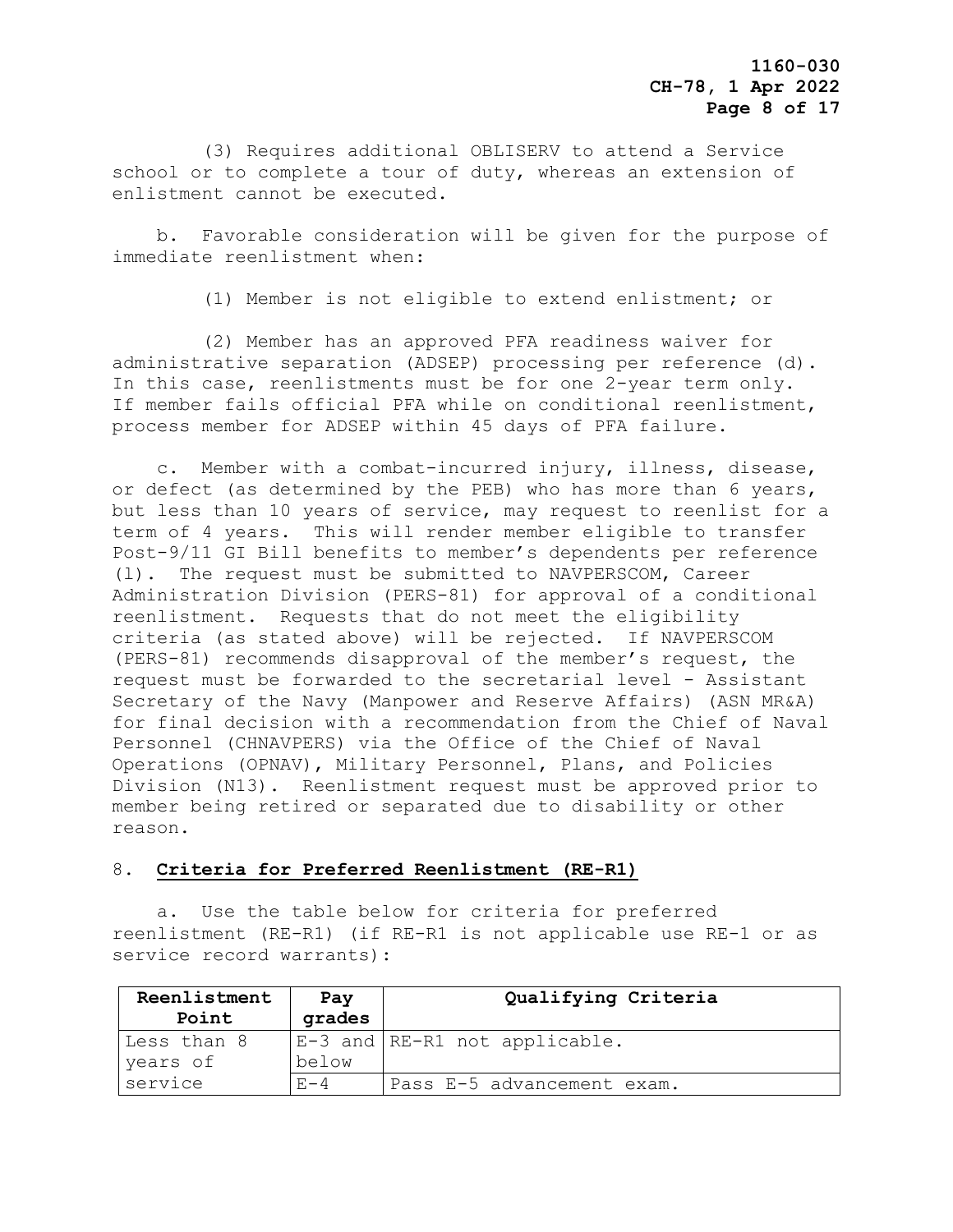(3) Requires additional OBLISERV to attend a Service school or to complete a tour of duty, whereas an extension of enlistment cannot be executed.

 b. Favorable consideration will be given for the purpose of immediate reenlistment when:

(1) Member is not eligible to extend enlistment; or

 (2) Member has an approved PFA readiness waiver for administrative separation (ADSEP) processing per reference (d). In this case, reenlistments must be for one 2-year term only. If member fails official PFA while on conditional reenlistment, process member for ADSEP within 45 days of PFA failure.

 c. Member with a combat-incurred injury, illness, disease, or defect (as determined by the PEB) who has more than 6 years, but less than 10 years of service, may request to reenlist for a term of 4 years. This will render member eligible to transfer Post-9/11 GI Bill benefits to member's dependents per reference (l). The request must be submitted to NAVPERSCOM, Career Administration Division (PERS-81) for approval of a conditional reenlistment. Requests that do not meet the eligibility criteria (as stated above) will be rejected. If NAVPERSCOM (PERS-81) recommends disapproval of the member's request, the request must be forwarded to the secretarial level - Assistant Secretary of the Navy (Manpower and Reserve Affairs) (ASN MR&A) for final decision with a recommendation from the Chief of Naval Personnel (CHNAVPERS) via the Office of the Chief of Naval Operations (OPNAV), Military Personnel, Plans, and Policies Division (N13). Reenlistment request must be approved prior to member being retired or separated due to disability or other reason.

#### 8. **Criteria for Preferred Reenlistment (RE-R1)**

 a**.** Use the table below for criteria for preferred reenlistment (RE-R1) (if RE-R1 is not applicable use RE-1 or as service record warrants):

| Reenlistment<br>Point   | Pay<br>grades | Qualifying Criteria                 |
|-------------------------|---------------|-------------------------------------|
| Less than 8<br>years of | below         | $ E-3$ and $ RE-R1$ not applicable. |
| service                 | $F - 4$       | Pass E-5 advancement exam.          |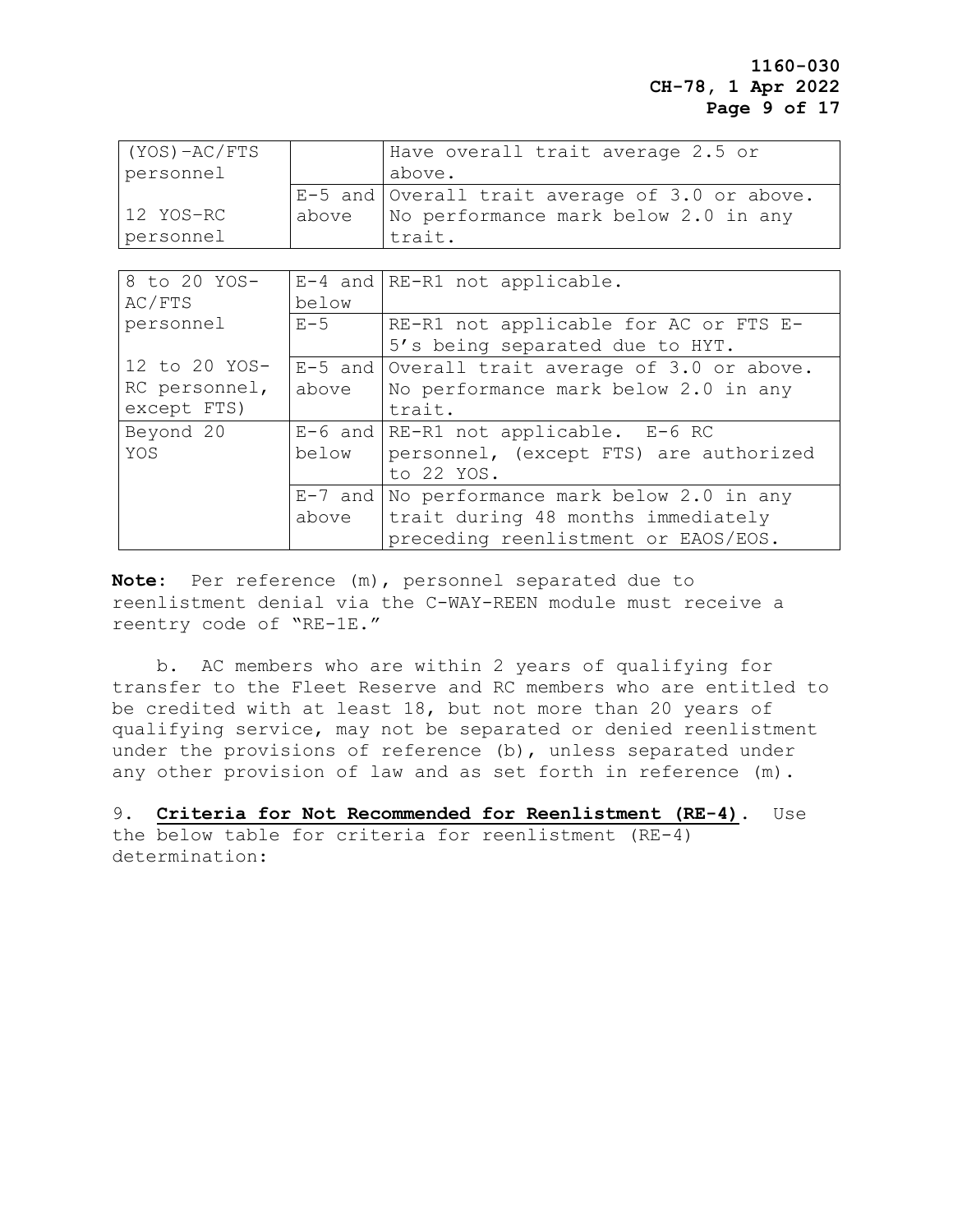## **1160-030 CH-78, 1 Apr 2022 Page 9 of 17**

| $(YOS) - AC/FTS$ |       | Have overall trait average 2.5 or                |
|------------------|-------|--------------------------------------------------|
| personnel        |       | above.                                           |
|                  |       | $E-5$ and Overall trait average of 3.0 or above. |
| 12 YOS-RC        | above | No performance mark below 2.0 in any             |
| personnel        |       | trait.                                           |

| 8 to 20 YOS-  |       | E-4 and RE-R1 not applicable.                    |
|---------------|-------|--------------------------------------------------|
| AC/FTS        | below |                                                  |
| personnel     | $E-5$ | RE-R1 not applicable for AC or FTS E-            |
|               |       | 5's being separated due to HYT.                  |
| 12 to 20 YOS- |       | $E-5$ and Overall trait average of 3.0 or above. |
| RC personnel, | above | No performance mark below 2.0 in any             |
| except FTS)   |       | trait.                                           |
| Beyond 20     |       | $E-6$ and $RE-RI$ not applicable. $E-6$ RC       |
| YOS           | below | personnel, (except FTS) are authorized           |
|               |       | to 22 YOS.                                       |
|               |       | $E-7$ and No performance mark below 2.0 in any   |
|               | above | trait during 48 months immediately               |
|               |       | preceding reenlistment or EAOS/EOS.              |

**Note**: Per reference (m), personnel separated due to reenlistment denial via the C-WAY-REEN module must receive a reentry code of "RE-1E."

 b. AC members who are within 2 years of qualifying for transfer to the Fleet Reserve and RC members who are entitled to be credited with at least 18, but not more than 20 years of qualifying service, may not be separated or denied reenlistment under the provisions of reference (b), unless separated under any other provision of law and as set forth in reference (m).

9. **Criteria for Not Recommended for Reenlistment (RE-4)**. Use

the below table for criteria for reenlistment (RE-4) determination: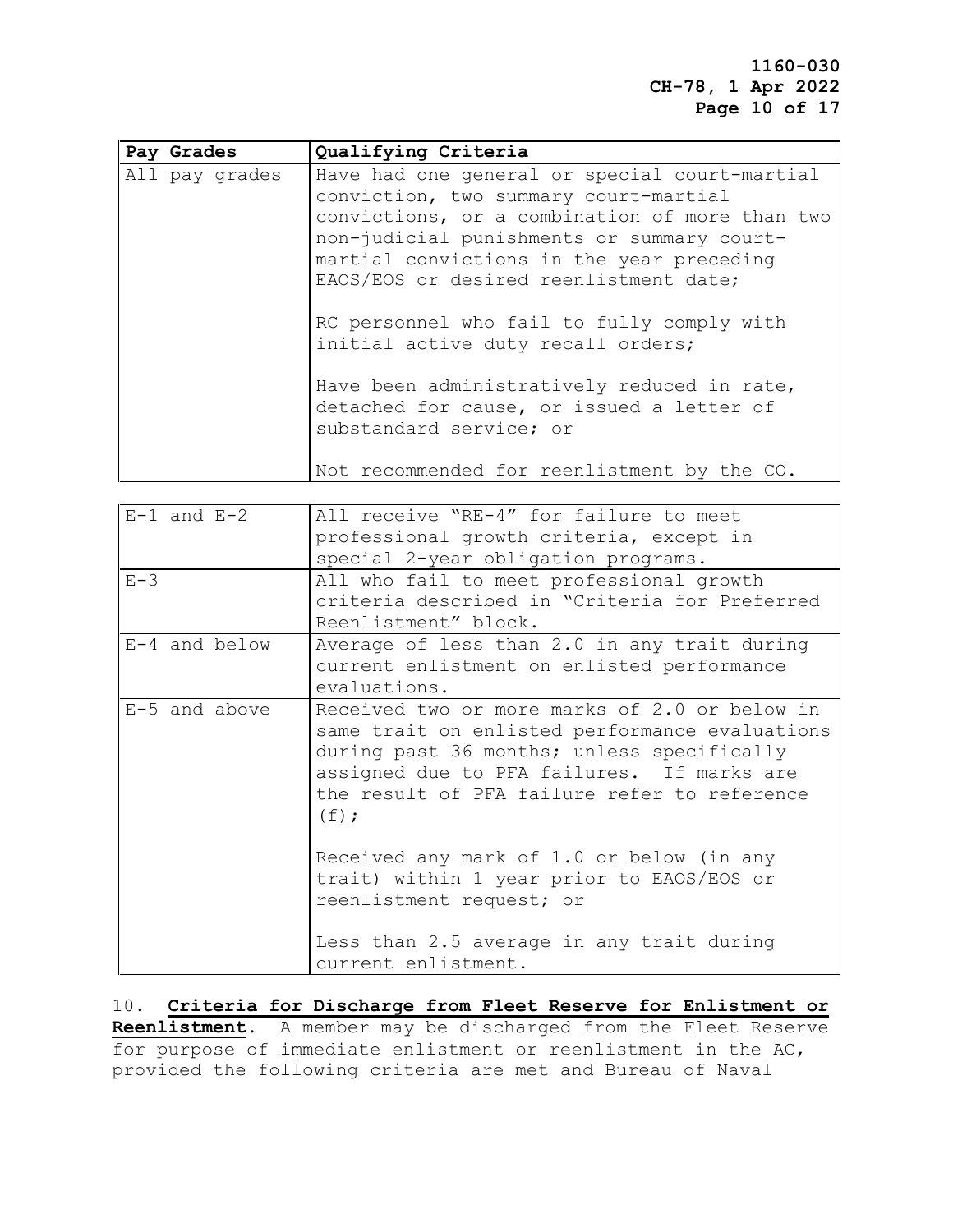**1160-030 CH-78, 1 Apr 2022 Page 10 of 17**

| Pay Grades     | Qualifying Criteria                                                                                                                                                                                                                                                           |
|----------------|-------------------------------------------------------------------------------------------------------------------------------------------------------------------------------------------------------------------------------------------------------------------------------|
| All pay grades | Have had one general or special court-martial<br>conviction, two summary court-martial<br>convictions, or a combination of more than two<br>non-judicial punishments or summary court-<br>martial convictions in the year preceding<br>EAOS/EOS or desired reenlistment date; |
|                | RC personnel who fail to fully comply with<br>initial active duty recall orders;                                                                                                                                                                                              |
|                | Have been administratively reduced in rate,<br>detached for cause, or issued a letter of<br>substandard service; or                                                                                                                                                           |
|                | Not recommended for reenlistment by the CO.                                                                                                                                                                                                                                   |

| $E-1$ and $E-2$ | All receive "RE-4" for failure to meet                                                                                                                                                                                                                 |
|-----------------|--------------------------------------------------------------------------------------------------------------------------------------------------------------------------------------------------------------------------------------------------------|
|                 | professional growth criteria, except in                                                                                                                                                                                                                |
|                 | special 2-year obligation programs.                                                                                                                                                                                                                    |
| $E-3$           | All who fail to meet professional growth                                                                                                                                                                                                               |
|                 | criteria described in "Criteria for Preferred                                                                                                                                                                                                          |
|                 | Reenlistment" block.                                                                                                                                                                                                                                   |
| $E-4$ and below | Average of less than 2.0 in any trait during<br>current enlistment on enlisted performance<br>evaluations.                                                                                                                                             |
| E-5 and above   | Received two or more marks of 2.0 or below in<br>same trait on enlisted performance evaluations<br>during past 36 months; unless specifically<br>assigned due to PFA failures. If marks are<br>the result of PFA failure refer to reference<br>$(f)$ ; |
|                 | Received any mark of 1.0 or below (in any<br>trait) within 1 year prior to EAOS/EOS or<br>reenlistment request; or                                                                                                                                     |
|                 | Less than 2.5 average in any trait during<br>current enlistment.                                                                                                                                                                                       |

10. **Criteria for Discharge from Fleet Reserve for Enlistment or Reenlistment**. A member may be discharged from the Fleet Reserve for purpose of immediate enlistment or reenlistment in the AC, provided the following criteria are met and Bureau of Naval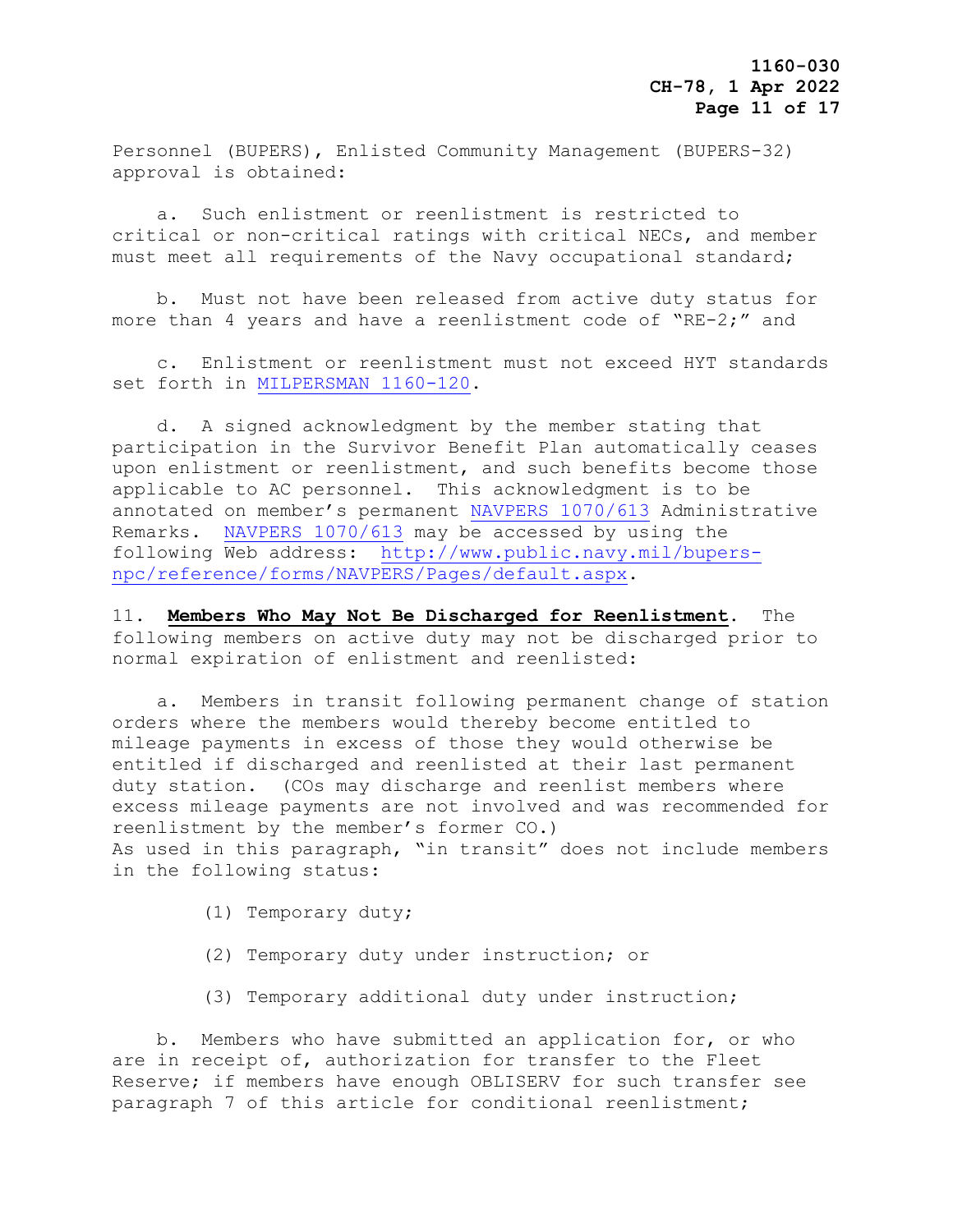Personnel (BUPERS), Enlisted Community Management (BUPERS-32) approval is obtained:

 a. Such enlistment or reenlistment is restricted to critical or non-critical ratings with critical NECs, and member must meet all requirements of the Navy occupational standard;

 b. Must not have been released from active duty status for more than 4 years and have a reenlistment code of "RE-2;" and

 c. Enlistment or reenlistment must not exceed HYT standards set forth in [MILPERSMAN 1160-120.](https://www.mynavyhr.navy.mil/References/MILPERSMAN/1000-Military-Personnel/1000-General/)

 d. A signed acknowledgment by the member stating that participation in the Survivor Benefit Plan automatically ceases upon enlistment or reenlistment, and such benefits become those applicable to AC personnel. This acknowledgment is to be annotated on member's permanent [NAVPERS 1070/613](https://www.mynavyhr.navy.mil/References/Forms/NAVPERS/) Administrative Remarks. [NAVPERS 1070/613](https://www.mynavyhr.navy.mil/References/Forms/NAVPERS/) may be accessed by using the following Web address: [http://www.public.navy.mil/bupers](http://www.public.navy.mil/bupers-npc/reference/forms/NAVPERS/Pages/default.aspx)[npc/reference/forms/NAVPERS/Pages/default.aspx.](http://www.public.navy.mil/bupers-npc/reference/forms/NAVPERS/Pages/default.aspx)

11. **Members Who May Not Be Discharged for Reenlistment**. The following members on active duty may not be discharged prior to normal expiration of enlistment and reenlisted:

 a. Members in transit following permanent change of station orders where the members would thereby become entitled to mileage payments in excess of those they would otherwise be entitled if discharged and reenlisted at their last permanent duty station. (COs may discharge and reenlist members where excess mileage payments are not involved and was recommended for reenlistment by the member's former CO.) As used in this paragraph, "in transit" does not include members in the following status:

- (1) Temporary duty;
- (2) Temporary duty under instruction; or
- (3) Temporary additional duty under instruction;

 b. Members who have submitted an application for, or who are in receipt of, authorization for transfer to the Fleet Reserve; if members have enough OBLISERV for such transfer see paragraph 7 of this article for conditional reenlistment;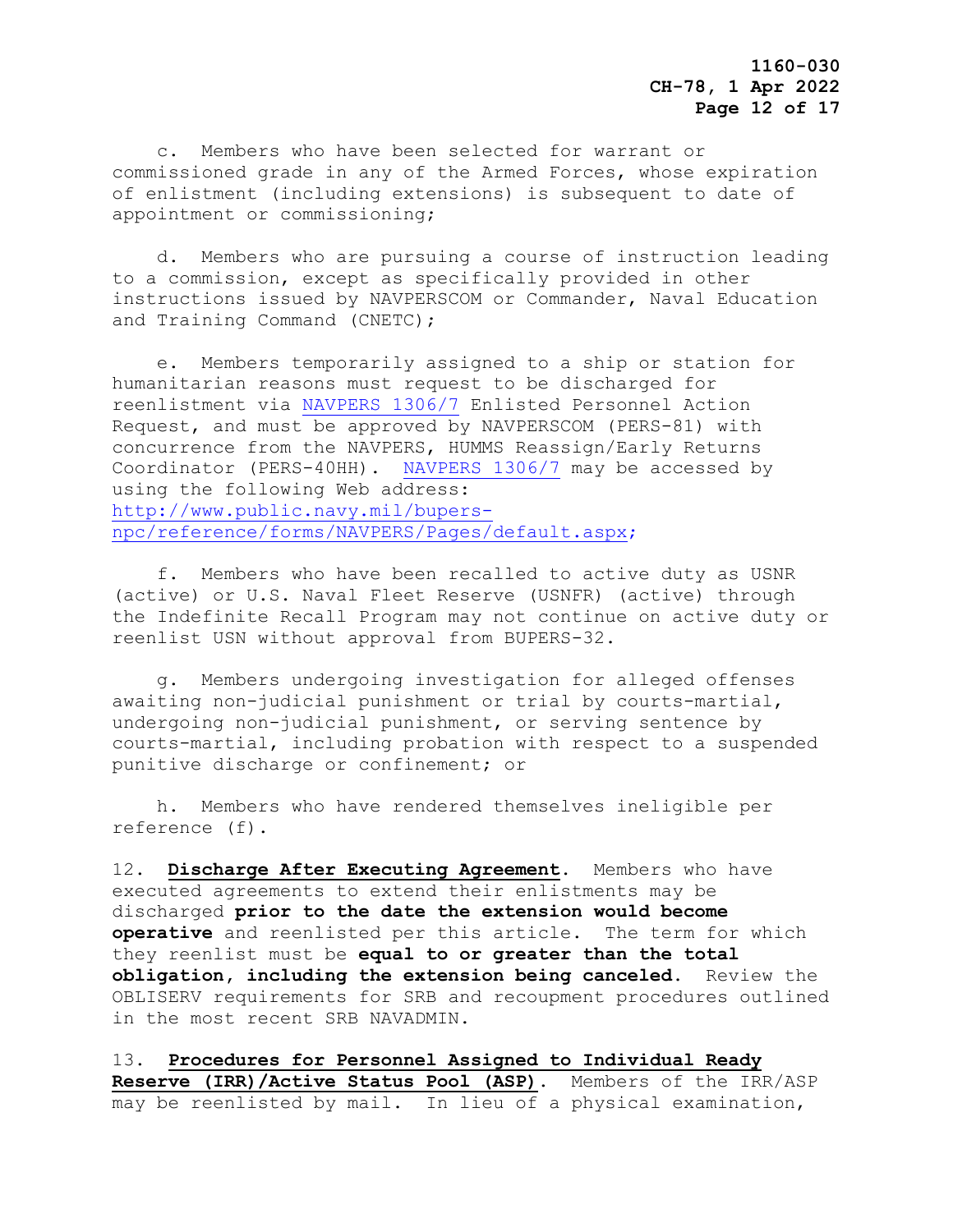c. Members who have been selected for warrant or commissioned grade in any of the Armed Forces, whose expiration of enlistment (including extensions) is subsequent to date of appointment or commissioning;

 d. Members who are pursuing a course of instruction leading to a commission, except as specifically provided in other instructions issued by NAVPERSCOM or Commander, Naval Education and Training Command (CNETC);

 e. Members temporarily assigned to a ship or station for humanitarian reasons must request to be discharged for reenlistment via [NAVPERS 1306/7](https://www.mynavyhr.navy.mil/References/Forms/NAVPERS/) Enlisted Personnel Action Request, and must be approved by NAVPERSCOM (PERS-81) with concurrence from the NAVPERS, HUMMS Reassign/Early Returns Coordinator (PERS-40HH). [NAVPERS 1306/7](https://www.mynavyhr.navy.mil/References/Forms/NAVPERS/) may be accessed by using the following Web address: [http://www.public.navy.mil/bupers](http://www.public.navy.mil/bupers-npc/reference/forms/NAVPERS/Pages/default.aspx)[npc/reference/forms/NAVPERS/Pages/default.aspx;](http://www.public.navy.mil/bupers-npc/reference/forms/NAVPERS/Pages/default.aspx)

 f. Members who have been recalled to active duty as USNR (active) or U.S. Naval Fleet Reserve (USNFR) (active) through the Indefinite Recall Program may not continue on active duty or reenlist USN without approval from BUPERS-32.

 g. Members undergoing investigation for alleged offenses awaiting non-judicial punishment or trial by courts-martial, undergoing non-judicial punishment, or serving sentence by courts-martial, including probation with respect to a suspended punitive discharge or confinement; or

 h. Members who have rendered themselves ineligible per reference (f).

12. **Discharge After Executing Agreement**. Members who have executed agreements to extend their enlistments may be discharged **prior to the date the extension would become operative** and reenlisted per this article. The term for which they reenlist must be **equal to or greater than the total obligation, including the extension being canceled**. Review the OBLISERV requirements for SRB and recoupment procedures outlined in the most recent SRB NAVADMIN.

13. **Procedures for Personnel Assigned to Individual Ready Reserve (IRR)/Active Status Pool (ASP).** Members of the IRR/ASP may be reenlisted by mail. In lieu of a physical examination,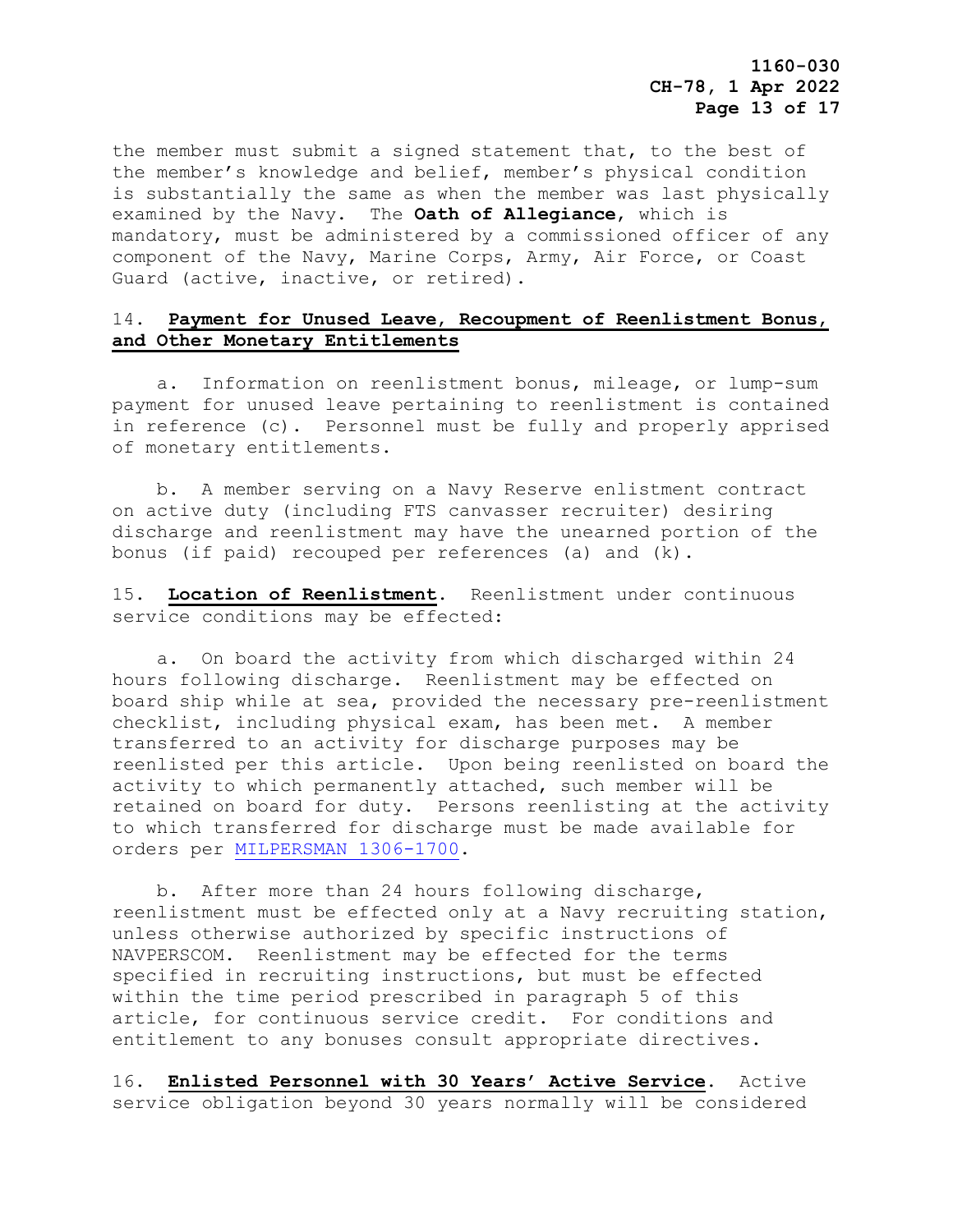the member must submit a signed statement that, to the best of the member's knowledge and belief, member's physical condition is substantially the same as when the member was last physically examined by the Navy. The **Oath of Allegiance**, which is mandatory, must be administered by a commissioned officer of any component of the Navy, Marine Corps, Army, Air Force, or Coast Guard (active, inactive, or retired).

## 14. **Payment for Unused Leave**, **Recoupment of Reenlistment Bonus**, **and Other Monetary Entitlements**

 a. Information on reenlistment bonus, mileage, or lump-sum payment for unused leave pertaining to reenlistment is contained in reference (c). Personnel must be fully and properly apprised of monetary entitlements.

 b. A member serving on a Navy Reserve enlistment contract on active duty (including FTS canvasser recruiter) desiring discharge and reenlistment may have the unearned portion of the bonus (if paid) recouped per references (a) and (k).

15. **Location of Reenlistment**. Reenlistment under continuous service conditions may be effected:

 a. On board the activity from which discharged within 24 hours following discharge. Reenlistment may be effected on board ship while at sea, provided the necessary pre-reenlistment checklist, including physical exam, has been met. A member transferred to an activity for discharge purposes may be reenlisted per this article. Upon being reenlisted on board the activity to which permanently attached, such member will be retained on board for duty. Persons reenlisting at the activity to which transferred for discharge must be made available for orders per [MILPERSMAN 1306-1700.](https://www.mynavyhr.navy.mil/References/MILPERSMAN/1000-Military-Personnel/1300-Assignment/)

 b. After more than 24 hours following discharge, reenlistment must be effected only at a Navy recruiting station, unless otherwise authorized by specific instructions of NAVPERSCOM. Reenlistment may be effected for the terms specified in recruiting instructions, but must be effected within the time period prescribed in paragraph 5 of this article, for continuous service credit. For conditions and entitlement to any bonuses consult appropriate directives.

16. **Enlisted Personnel with 30 Years' Active Service**. Active service obligation beyond 30 years normally will be considered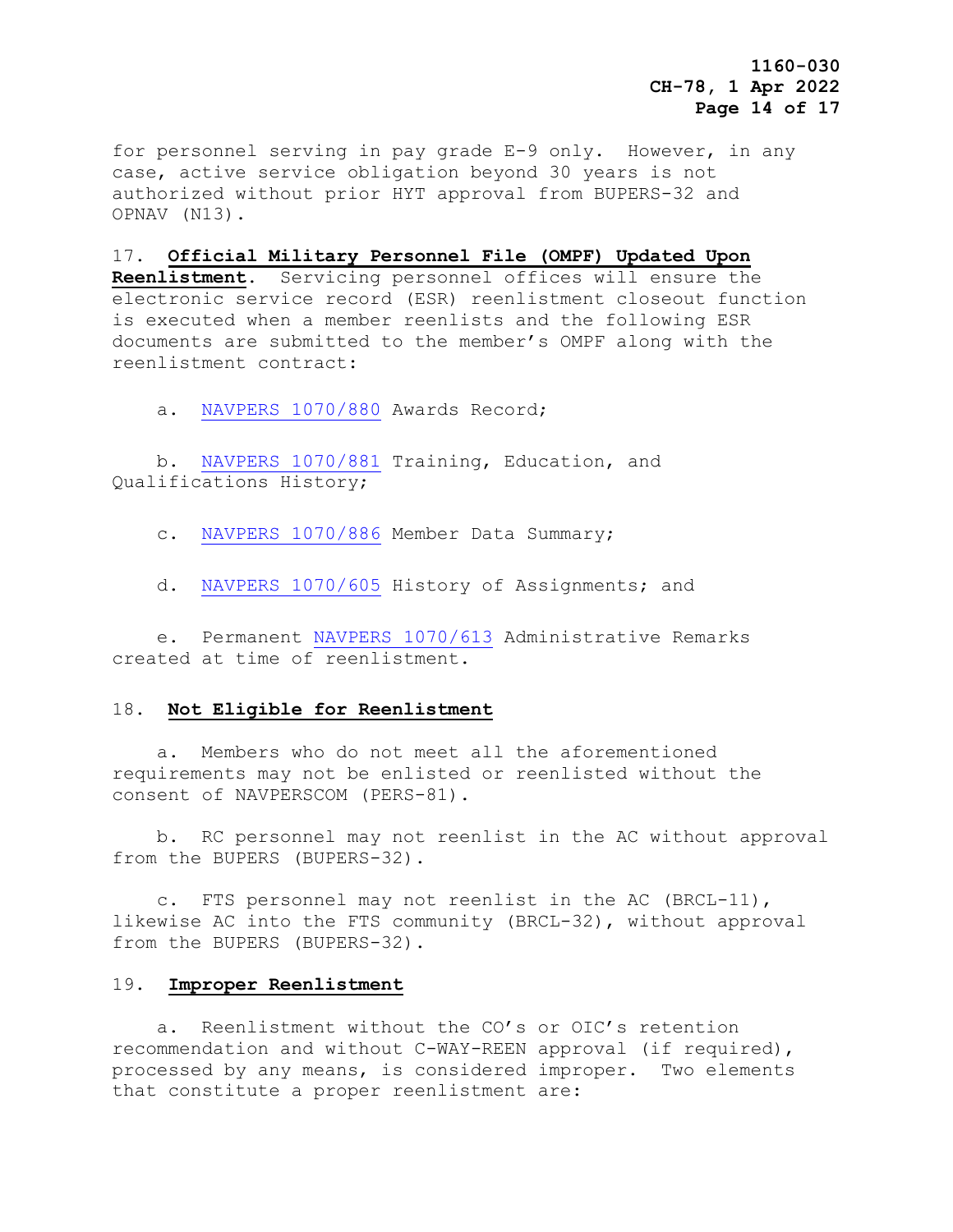**1160-030 CH-78, 1 Apr 2022 Page 14 of 17**

for personnel serving in pay grade E-9 only. However, in any case, active service obligation beyond 30 years is not authorized without prior HYT approval from BUPERS-32 and OPNAV (N13).

## 17. **Official Military Personnel File (OMPF) Updated Upon**

**Reenlistment**. Servicing personnel offices will ensure the electronic service record (ESR) reenlistment closeout function is executed when a member reenlists and the following ESR documents are submitted to the member's OMPF along with the reenlistment contract:

a. [NAVPERS 1070/880](https://www.mynavyhr.navy.mil/References/Forms/NAVPERS/) Awards Record;

 b. [NAVPERS 1070/881](https://www.mynavyhr.navy.mil/References/Forms/NAVPERS/) Training, Education, and Qualifications History;

c. [NAVPERS 1070/886](https://www.mynavyhr.navy.mil/References/Forms/NAVPERS/) Member Data Summary;

d. [NAVPERS 1070/605](https://www.mynavyhr.navy.mil/References/Forms/NAVPERS/) History of Assignments; and

 e. Permanent [NAVPERS 1070/613](https://www.mynavyhr.navy.mil/References/Forms/NAVPERS/) Administrative Remarks created at time of reenlistment.

#### 18. **Not Eligible for Reenlistment**

 a. Members who do not meet all the aforementioned requirements may not be enlisted or reenlisted without the consent of NAVPERSCOM (PERS-81).

 b. RC personnel may not reenlist in the AC without approval from the BUPERS (BUPERS-32).

 c. FTS personnel may not reenlist in the AC (BRCL-11), likewise AC into the FTS community (BRCL-32), without approval from the BUPERS (BUPERS-32).

#### 19. **Improper Reenlistment**

 a. Reenlistment without the CO's or OIC's retention recommendation and without C-WAY-REEN approval (if required), processed by any means, is considered improper. Two elements that constitute a proper reenlistment are: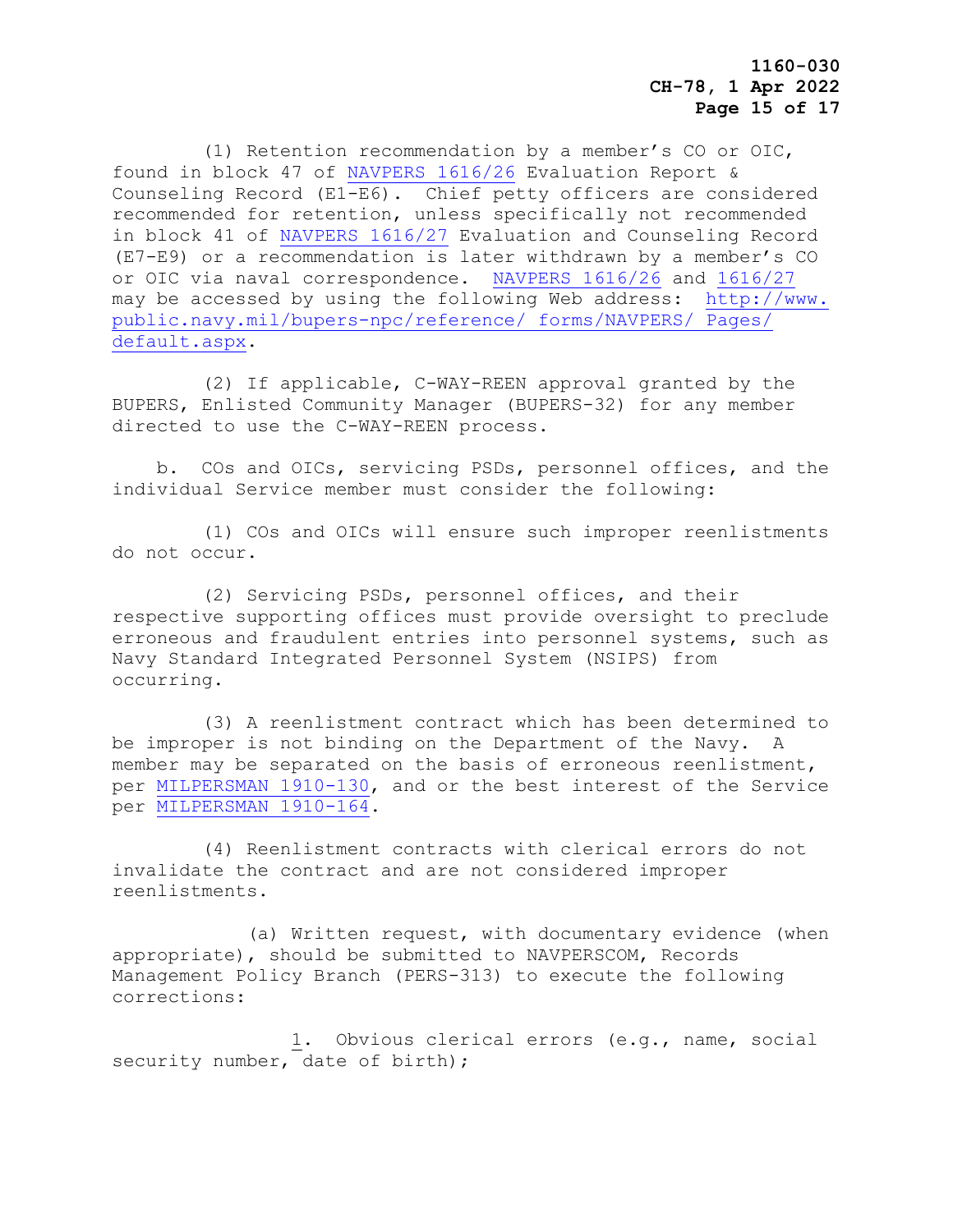(1) Retention recommendation by a member's CO or OIC, found in block 47 of [NAVPERS 1616/26](https://www.mynavyhr.navy.mil/References/Forms/NAVPERS/) Evaluation Report & Counseling Record (E1-E6). Chief petty officers are considered recommended for retention, unless specifically not recommended in block 41 of [NAVPERS 1616/27](https://www.mynavyhr.navy.mil/References/Forms/NAVPERS/) Evaluation and Counseling Record (E7-E9) or a recommendation is later withdrawn by a member's CO or OIC via naval correspondence. [NAVPERS 1616/26](https://www.mynavyhr.navy.mil/References/Forms/NAVPERS/) and [1616/27](https://www.mynavyhr.navy.mil/References/Forms/NAVPERS/) may be accessed by using the following Web address: [http://www.](http://www.public.navy.mil/bupers-npc/reference/forms/NAVPERS/Pages/default.aspx)  [public.navy.mil/bupers-npc/reference/ forms/NAVPERS/ Pages/](http://www.public.navy.mil/bupers-npc/reference/forms/NAVPERS/Pages/default.aspx)  [default.aspx.](http://www.public.navy.mil/bupers-npc/reference/forms/NAVPERS/Pages/default.aspx)

 (2) If applicable, C-WAY-REEN approval granted by the BUPERS, Enlisted Community Manager (BUPERS-32) for any member directed to use the C-WAY-REEN process.

 b. COs and OICs, servicing PSDs, personnel offices, and the individual Service member must consider the following:

 (1) COs and OICs will ensure such improper reenlistments do not occur.

 (2) Servicing PSDs, personnel offices, and their respective supporting offices must provide oversight to preclude erroneous and fraudulent entries into personnel systems, such as Navy Standard Integrated Personnel System (NSIPS) from occurring.

 (3) A reenlistment contract which has been determined to be improper is not binding on the Department of the Navy. A member may be separated on the basis of erroneous reenlistment, per [MILPERSMAN 1910-130,](https://www.mynavyhr.navy.mil/References/MILPERSMAN/1000-Military-Personnel/1900-Separation/) and or the best interest of the Service per [MILPERSMAN](https://www.mynavyhr.navy.mil/References/MILPERSMAN/1000-Military-Personnel/1900-Separation/) 1910-164.

 (4) Reenlistment contracts with clerical errors do not invalidate the contract and are not considered improper reenlistments.

 (a) Written request, with documentary evidence (when appropriate), should be submitted to NAVPERSCOM, Records Management Policy Branch (PERS-313) to execute the following corrections:

 1. Obvious clerical errors (e.g., name, social security number, date of birth);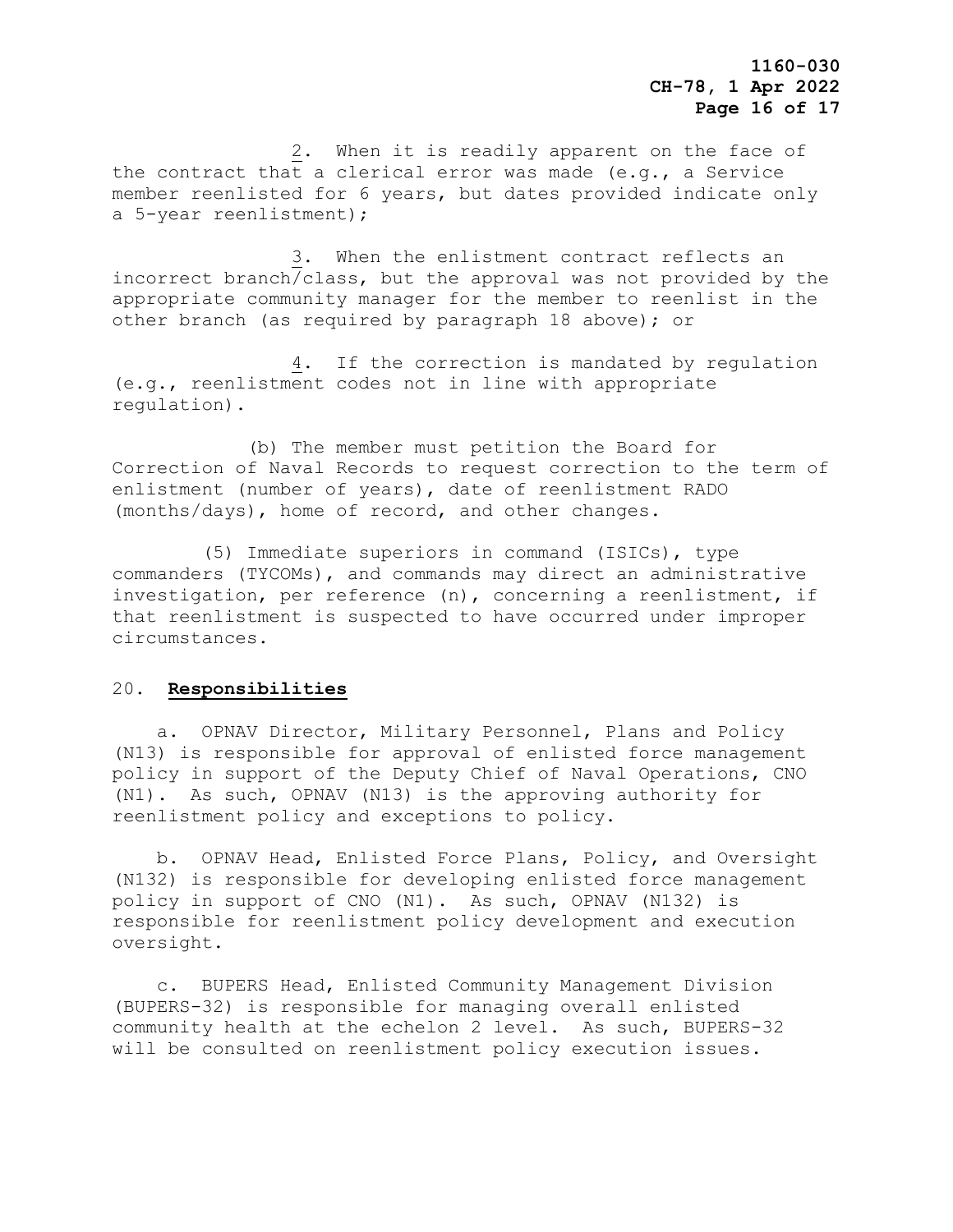2. When it is readily apparent on the face of the contract that a clerical error was made (e.g., a Service member reenlisted for 6 years, but dates provided indicate only a 5-year reenlistment);

 3. When the enlistment contract reflects an incorrect branch/class, but the approval was not provided by the appropriate community manager for the member to reenlist in the other branch (as required by paragraph 18 above); or

 4. If the correction is mandated by regulation (e.g., reenlistment codes not in line with appropriate regulation).

 (b) The member must petition the Board for Correction of Naval Records to request correction to the term of enlistment (number of years), date of reenlistment RADO (months/days), home of record, and other changes.

 (5) Immediate superiors in command (ISICs), type commanders (TYCOMs), and commands may direct an administrative investigation, per reference (n), concerning a reenlistment, if that reenlistment is suspected to have occurred under improper circumstances.

### 20. **Responsibilities**

 a. OPNAV Director, Military Personnel, Plans and Policy (N13) is responsible for approval of enlisted force management policy in support of the Deputy Chief of Naval Operations, CNO (N1). As such, OPNAV (N13) is the approving authority for reenlistment policy and exceptions to policy.

 b. OPNAV Head, Enlisted Force Plans, Policy, and Oversight (N132) is responsible for developing enlisted force management policy in support of CNO (N1). As such, OPNAV (N132) is responsible for reenlistment policy development and execution oversight.

 c. BUPERS Head, Enlisted Community Management Division (BUPERS-32) is responsible for managing overall enlisted community health at the echelon 2 level. As such, BUPERS-32 will be consulted on reenlistment policy execution issues.